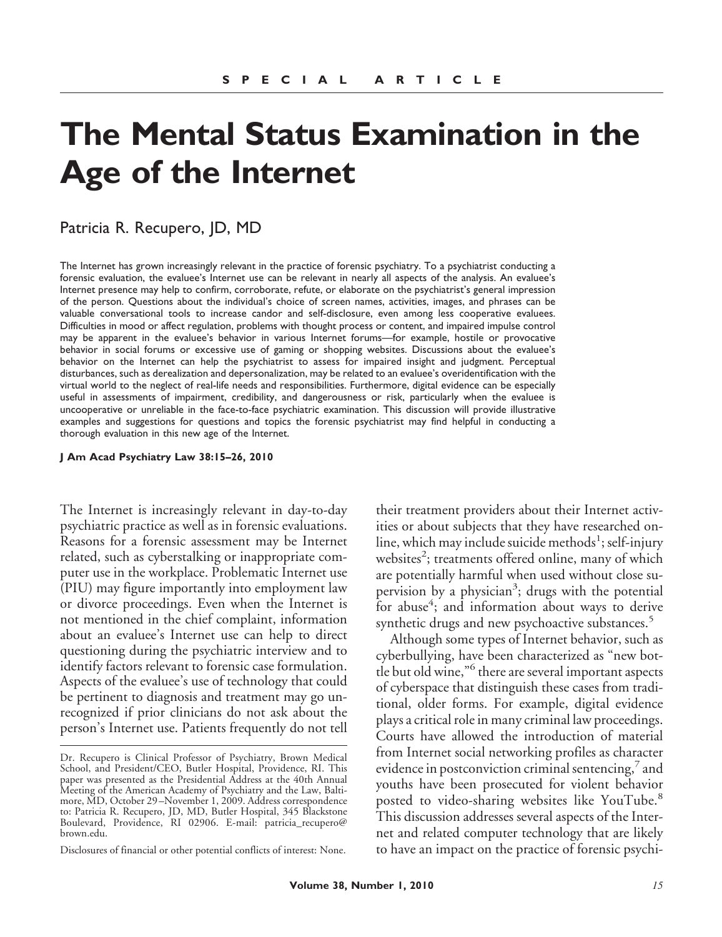# **The Mental Status Examination in the Age of the Internet**

# Patricia R. Recupero, JD, MD

The Internet has grown increasingly relevant in the practice of forensic psychiatry. To a psychiatrist conducting a forensic evaluation, the evaluee's Internet use can be relevant in nearly all aspects of the analysis. An evaluee's Internet presence may help to confirm, corroborate, refute, or elaborate on the psychiatrist's general impression of the person. Questions about the individual's choice of screen names, activities, images, and phrases can be valuable conversational tools to increase candor and self-disclosure, even among less cooperative evaluees. Difficulties in mood or affect regulation, problems with thought process or content, and impaired impulse control may be apparent in the evaluee's behavior in various Internet forums—for example, hostile or provocative behavior in social forums or excessive use of gaming or shopping websites. Discussions about the evaluee's behavior on the Internet can help the psychiatrist to assess for impaired insight and judgment. Perceptual disturbances, such as derealization and depersonalization, may be related to an evaluee's overidentification with the virtual world to the neglect of real-life needs and responsibilities. Furthermore, digital evidence can be especially useful in assessments of impairment, credibility, and dangerousness or risk, particularly when the evaluee is uncooperative or unreliable in the face-to-face psychiatric examination. This discussion will provide illustrative examples and suggestions for questions and topics the forensic psychiatrist may find helpful in conducting a thorough evaluation in this new age of the Internet.

**J Am Acad Psychiatry Law 38:15–26, 2010**

The Internet is increasingly relevant in day-to-day psychiatric practice as well as in forensic evaluations. Reasons for a forensic assessment may be Internet related, such as cyberstalking or inappropriate computer use in the workplace. Problematic Internet use (PIU) may figure importantly into employment law or divorce proceedings. Even when the Internet is not mentioned in the chief complaint, information about an evaluee's Internet use can help to direct questioning during the psychiatric interview and to identify factors relevant to forensic case formulation. Aspects of the evaluee's use of technology that could be pertinent to diagnosis and treatment may go unrecognized if prior clinicians do not ask about the person's Internet use. Patients frequently do not tell

Disclosures of financial or other potential conflicts of interest: None.

their treatment providers about their Internet activities or about subjects that they have researched online, which may include suicide methods<sup>1</sup>; self-injury websites<sup>2</sup>; treatments offered online, many of which are potentially harmful when used without close supervision by a physician<sup>3</sup>; drugs with the potential for abuse<sup>4</sup>; and information about ways to derive synthetic drugs and new psychoactive substances.<sup>5</sup>

Although some types of Internet behavior, such as cyberbullying, have been characterized as "new bottle but old wine,"<sup>6</sup> there are several important aspects of cyberspace that distinguish these cases from traditional, older forms. For example, digital evidence plays a critical role in many criminal law proceedings. Courts have allowed the introduction of material from Internet social networking profiles as character evidence in postconviction criminal sentencing, $\frac{7}{7}$  and youths have been prosecuted for violent behavior posted to video-sharing websites like YouTube.<sup>8</sup> This discussion addresses several aspects of the Internet and related computer technology that are likely to have an impact on the practice of forensic psychi-

Dr. Recupero is Clinical Professor of Psychiatry, Brown Medical School, and President/CEO, Butler Hospital, Providence, RI. This paper was presented as the Presidential Address at the 40th Annual Meeting of the American Academy of Psychiatry and the Law, Baltimore, MD, October 29 –November 1, 2009. Address correspondence to: Patricia R. Recupero, JD, MD, Butler Hospital, 345 Blackstone Boulevard, Providence, RI 02906. E-mail: patricia\_recupero@ brown.edu.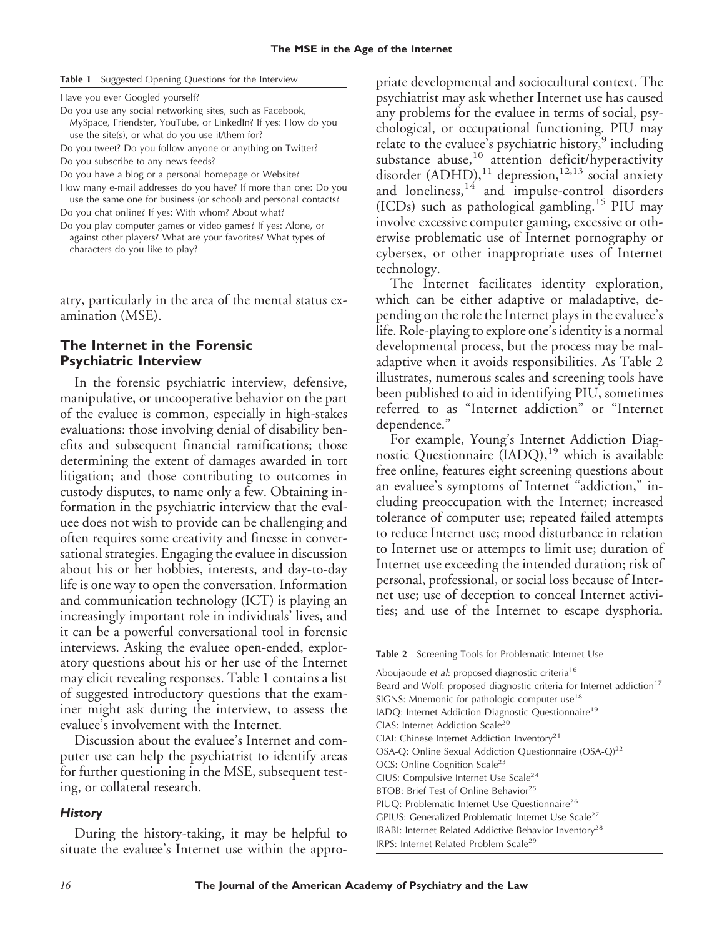|  | Table 1 Suggested Opening Questions for the Interview |  |  |  |  |
|--|-------------------------------------------------------|--|--|--|--|
|--|-------------------------------------------------------|--|--|--|--|

|  |  |  |  |  | Have you ever Googled yourself? |
|--|--|--|--|--|---------------------------------|
|--|--|--|--|--|---------------------------------|

Do you use any social networking sites, such as Facebook, MySpace, Friendster, YouTube, or LinkedIn? If yes: How do you use the site(s), or what do you use it/them for?

Do you tweet? Do you follow anyone or anything on Twitter? Do you subscribe to any news feeds?

Do you have a blog or a personal homepage or Website?

How many e-mail addresses do you have? If more than one: Do you

use the same one for business (or school) and personal contacts? Do you chat online? If yes: With whom? About what?

Do you play computer games or video games? If yes: Alone, or against other players? What are your favorites? What types of characters do you like to play?

atry, particularly in the area of the mental status examination (MSE).

## **The Internet in the Forensic Psychiatric Interview**

In the forensic psychiatric interview, defensive, manipulative, or uncooperative behavior on the part of the evaluee is common, especially in high-stakes evaluations: those involving denial of disability benefits and subsequent financial ramifications; those determining the extent of damages awarded in tort litigation; and those contributing to outcomes in custody disputes, to name only a few. Obtaining information in the psychiatric interview that the evaluee does not wish to provide can be challenging and often requires some creativity and finesse in conversational strategies. Engaging the evaluee in discussion about his or her hobbies, interests, and day-to-day life is one way to open the conversation. Information and communication technology (ICT) is playing an increasingly important role in individuals' lives, and it can be a powerful conversational tool in forensic interviews. Asking the evaluee open-ended, exploratory questions about his or her use of the Internet may elicit revealing responses. Table 1 contains a list of suggested introductory questions that the examiner might ask during the interview, to assess the evaluee's involvement with the Internet.

Discussion about the evaluee's Internet and computer use can help the psychiatrist to identify areas for further questioning in the MSE, subsequent testing, or collateral research.

## *History*

During the history-taking, it may be helpful to situate the evaluee's Internet use within the appro-

priate developmental and sociocultural context. The psychiatrist may ask whether Internet use has caused any problems for the evaluee in terms of social, psychological, or occupational functioning. PIU may relate to the evaluee's psychiatric history,<sup>9</sup> including substance abuse,<sup>10</sup> attention deficit/hyperactivity disorder (ADHD),<sup>11</sup> depression,<sup>12,13</sup> social anxiety and loneliness, $14$  and impulse-control disorders (ICDs) such as pathological gambling.<sup>15</sup> PIU may involve excessive computer gaming, excessive or otherwise problematic use of Internet pornography or cybersex, or other inappropriate uses of Internet technology.

The Internet facilitates identity exploration, which can be either adaptive or maladaptive, depending on the role the Internet plays in the evaluee's life. Role-playing to explore one's identity is a normal developmental process, but the process may be maladaptive when it avoids responsibilities. As Table 2 illustrates, numerous scales and screening tools have been published to aid in identifying PIU, sometimes referred to as "Internet addiction" or "Internet dependence."

For example, Young's Internet Addiction Diagnostic Questionnaire  $(IADQ)$ ,<sup>19</sup> which is available free online, features eight screening questions about an evaluee's symptoms of Internet "addiction," including preoccupation with the Internet; increased tolerance of computer use; repeated failed attempts to reduce Internet use; mood disturbance in relation to Internet use or attempts to limit use; duration of Internet use exceeding the intended duration; risk of personal, professional, or social loss because of Internet use; use of deception to conceal Internet activities; and use of the Internet to escape dysphoria.

|  |  |  | Table 2 Screening Tools for Problematic Internet Use |  |
|--|--|--|------------------------------------------------------|--|
|--|--|--|------------------------------------------------------|--|

Aboujaoude *et al*: proposed diagnostic criteria16 Beard and Wolf: proposed diagnostic criteria for Internet addiction<sup>17</sup> SIGNS: Mnemonic for pathologic computer use<sup>18</sup> IADQ: Internet Addiction Diagnostic Questionnaire<sup>19</sup> CIAS: Internet Addiction Scale20 CIAI: Chinese Internet Addiction Inventory<sup>21</sup> OSA-Q: Online Sexual Addiction Questionnaire (OSA-Q)<sup>22</sup> OCS: Online Cognition Scale<sup>23</sup> CIUS: Compulsive Internet Use Scale<sup>24</sup> BTOB: Brief Test of Online Behavior<sup>25</sup> PIUQ: Problematic Internet Use Questionnaire<sup>26</sup> GPIUS: Generalized Problematic Internet Use Scale<sup>27</sup> IRABI: Internet-Related Addictive Behavior Inventory<sup>28</sup> IRPS: Internet-Related Problem Scale29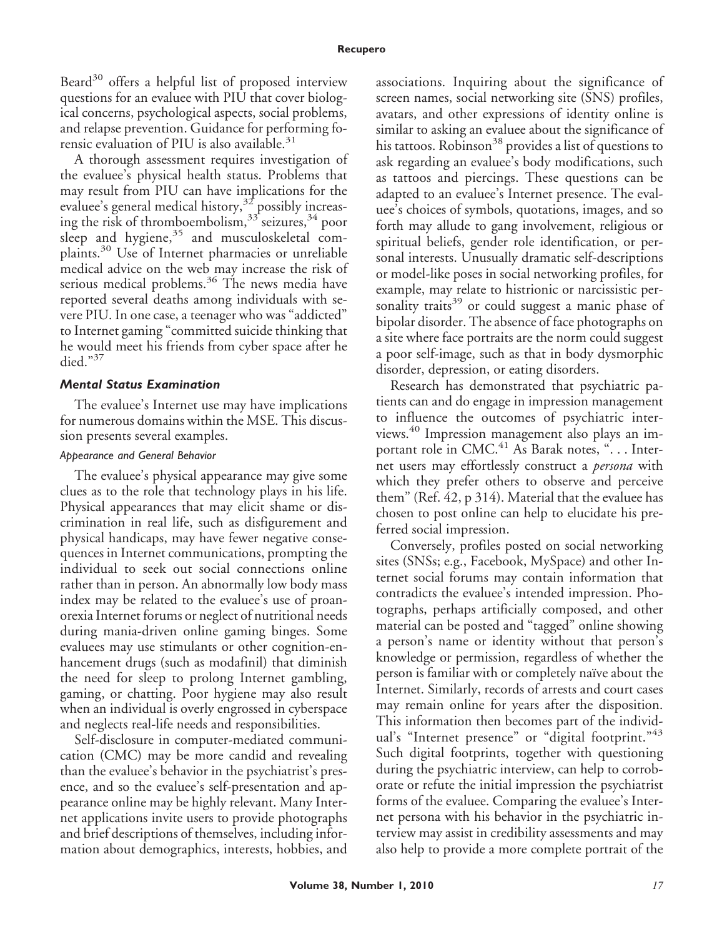Beard $30$  offers a helpful list of proposed interview questions for an evaluee with PIU that cover biological concerns, psychological aspects, social problems, and relapse prevention. Guidance for performing forensic evaluation of PIU is also available. $31$ 

A thorough assessment requires investigation of the evaluee's physical health status. Problems that may result from PIU can have implications for the evaluee's general medical history,<sup>32</sup> possibly increasing the risk of thromboembolism,<sup>33</sup> seizures,<sup>34</sup> poor sleep and hygiene,<sup>35</sup> and musculoskeletal complaints.<sup>30</sup> Use of Internet pharmacies or unreliable medical advice on the web may increase the risk of serious medical problems.<sup>36</sup> The news media have reported several deaths among individuals with severe PIU. In one case, a teenager who was "addicted" to Internet gaming "committed suicide thinking that he would meet his friends from cyber space after he died."<sup>37</sup>

## *Mental Status Examination*

The evaluee's Internet use may have implications for numerous domains within the MSE. This discussion presents several examples.

## *Appearance and General Behavior*

The evaluee's physical appearance may give some clues as to the role that technology plays in his life. Physical appearances that may elicit shame or discrimination in real life, such as disfigurement and physical handicaps, may have fewer negative consequences in Internet communications, prompting the individual to seek out social connections online rather than in person. An abnormally low body mass index may be related to the evaluee's use of proanorexia Internet forums or neglect of nutritional needs during mania-driven online gaming binges. Some evaluees may use stimulants or other cognition-enhancement drugs (such as modafinil) that diminish the need for sleep to prolong Internet gambling, gaming, or chatting. Poor hygiene may also result when an individual is overly engrossed in cyberspace and neglects real-life needs and responsibilities.

Self-disclosure in computer-mediated communication (CMC) may be more candid and revealing than the evaluee's behavior in the psychiatrist's presence, and so the evaluee's self-presentation and appearance online may be highly relevant. Many Internet applications invite users to provide photographs and brief descriptions of themselves, including information about demographics, interests, hobbies, and

associations. Inquiring about the significance of screen names, social networking site (SNS) profiles, avatars, and other expressions of identity online is similar to asking an evaluee about the significance of his tattoos. Robinson<sup>38</sup> provides a list of questions to ask regarding an evaluee's body modifications, such as tattoos and piercings. These questions can be adapted to an evaluee's Internet presence. The evaluee's choices of symbols, quotations, images, and so forth may allude to gang involvement, religious or spiritual beliefs, gender role identification, or personal interests. Unusually dramatic self-descriptions or model-like poses in social networking profiles, for example, may relate to histrionic or narcissistic personality traits<sup>39</sup> or could suggest a manic phase of bipolar disorder. The absence of face photographs on a site where face portraits are the norm could suggest a poor self-image, such as that in body dysmorphic disorder, depression, or eating disorders.

Research has demonstrated that psychiatric patients can and do engage in impression management to influence the outcomes of psychiatric interviews.<sup>40</sup> Impression management also plays an important role in CMC.<sup>41</sup> As Barak notes, "... Internet users may effortlessly construct a *persona* with which they prefer others to observe and perceive them" (Ref. 42, p 314). Material that the evaluee has chosen to post online can help to elucidate his preferred social impression.

Conversely, profiles posted on social networking sites (SNSs; e.g., Facebook, MySpace) and other Internet social forums may contain information that contradicts the evaluee's intended impression. Photographs, perhaps artificially composed, and other material can be posted and "tagged" online showing a person's name or identity without that person's knowledge or permission, regardless of whether the person is familiar with or completely naïve about the Internet. Similarly, records of arrests and court cases may remain online for years after the disposition. This information then becomes part of the individual's "Internet presence" or "digital footprint."<sup>43</sup> Such digital footprints, together with questioning during the psychiatric interview, can help to corroborate or refute the initial impression the psychiatrist forms of the evaluee. Comparing the evaluee's Internet persona with his behavior in the psychiatric interview may assist in credibility assessments and may also help to provide a more complete portrait of the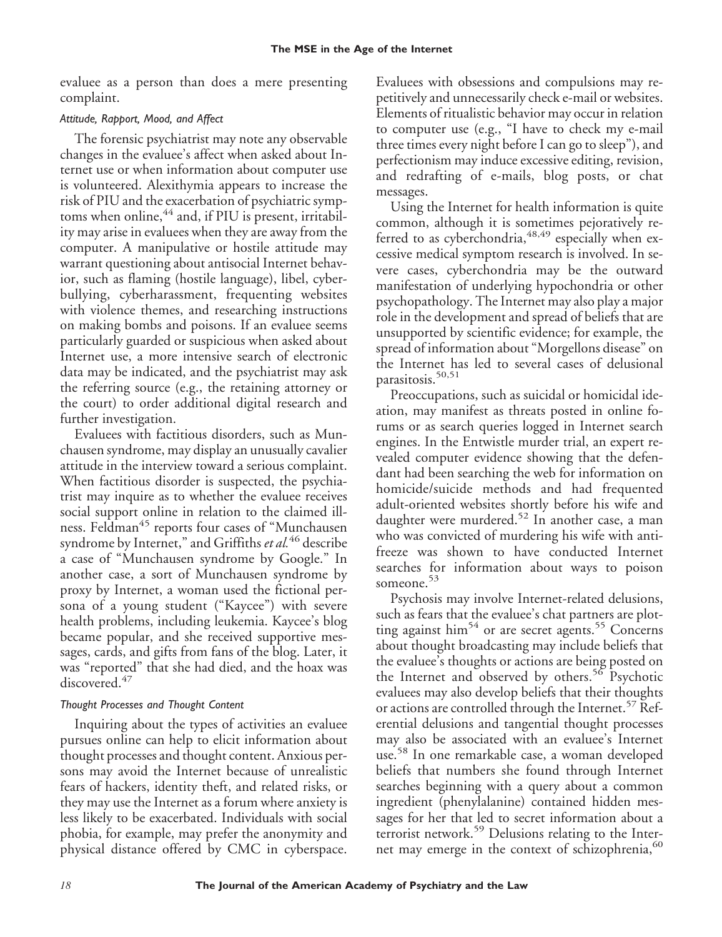evaluee as a person than does a mere presenting complaint.

# *Attitude, Rapport, Mood, and Affect*

The forensic psychiatrist may note any observable changes in the evaluee's affect when asked about Internet use or when information about computer use is volunteered. Alexithymia appears to increase the risk of PIU and the exacerbation of psychiatric symptoms when online,<sup>44</sup> and, if PIU is present, irritability may arise in evaluees when they are away from the computer. A manipulative or hostile attitude may warrant questioning about antisocial Internet behavior, such as flaming (hostile language), libel, cyberbullying, cyberharassment, frequenting websites with violence themes, and researching instructions on making bombs and poisons. If an evaluee seems particularly guarded or suspicious when asked about Internet use, a more intensive search of electronic data may be indicated, and the psychiatrist may ask the referring source (e.g., the retaining attorney or the court) to order additional digital research and further investigation.

Evaluees with factitious disorders, such as Munchausen syndrome, may display an unusually cavalier attitude in the interview toward a serious complaint. When factitious disorder is suspected, the psychiatrist may inquire as to whether the evaluee receives social support online in relation to the claimed illness. Feldman<sup>45</sup> reports four cases of "Munchausen syndrome by Internet," and Griffiths *et al.*<sup>46</sup> describe a case of "Munchausen syndrome by Google." In another case, a sort of Munchausen syndrome by proxy by Internet, a woman used the fictional persona of a young student ("Kaycee") with severe health problems, including leukemia. Kaycee's blog became popular, and she received supportive messages, cards, and gifts from fans of the blog. Later, it was "reported" that she had died, and the hoax was discovered.<sup>47</sup>

# *Thought Processes and Thought Content*

Inquiring about the types of activities an evaluee pursues online can help to elicit information about thought processes and thought content. Anxious persons may avoid the Internet because of unrealistic fears of hackers, identity theft, and related risks, or they may use the Internet as a forum where anxiety is less likely to be exacerbated. Individuals with social phobia, for example, may prefer the anonymity and physical distance offered by CMC in cyberspace. Evaluees with obsessions and compulsions may repetitively and unnecessarily check e-mail or websites. Elements of ritualistic behavior may occur in relation to computer use (e.g., "I have to check my e-mail three times every night before I can go to sleep"), and perfectionism may induce excessive editing, revision, and redrafting of e-mails, blog posts, or chat messages.

Using the Internet for health information is quite common, although it is sometimes pejoratively referred to as cyberchondria,  $48,49$  especially when excessive medical symptom research is involved. In severe cases, cyberchondria may be the outward manifestation of underlying hypochondria or other psychopathology. The Internet may also play a major role in the development and spread of beliefs that are unsupported by scientific evidence; for example, the spread of information about "Morgellons disease" on the Internet has led to several cases of delusional parasitosis.<sup>50,51</sup>

Preoccupations, such as suicidal or homicidal ideation, may manifest as threats posted in online forums or as search queries logged in Internet search engines. In the Entwistle murder trial, an expert revealed computer evidence showing that the defendant had been searching the web for information on homicide/suicide methods and had frequented adult-oriented websites shortly before his wife and daughter were murdered.<sup>52</sup> In another case, a man who was convicted of murdering his wife with antifreeze was shown to have conducted Internet searches for information about ways to poison someone.<sup>53</sup>

Psychosis may involve Internet-related delusions, such as fears that the evaluee's chat partners are plotting against him<sup>54</sup> or are secret agents.<sup>55</sup> Concerns about thought broadcasting may include beliefs that the evaluee's thoughts or actions are being posted on the Internet and observed by others.<sup>56</sup> Psychotic evaluees may also develop beliefs that their thoughts or actions are controlled through the Internet.<sup>57</sup> Referential delusions and tangential thought processes may also be associated with an evaluee's Internet use.<sup>58</sup> In one remarkable case, a woman developed beliefs that numbers she found through Internet searches beginning with a query about a common ingredient (phenylalanine) contained hidden messages for her that led to secret information about a terrorist network.<sup>59</sup> Delusions relating to the Internet may emerge in the context of schizophrenia,<sup>60</sup>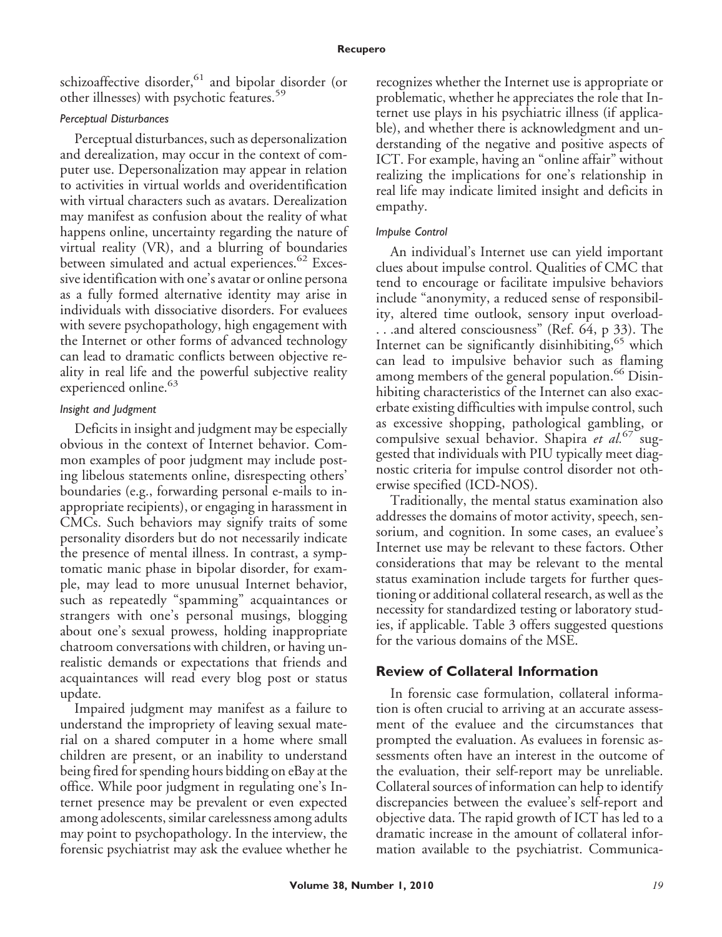schizoaffective disorder,<sup>61</sup> and bipolar disorder (or other illnesses) with psychotic features.<sup>59</sup>

## *Perceptual Disturbances*

Perceptual disturbances, such as depersonalization and derealization, may occur in the context of computer use. Depersonalization may appear in relation to activities in virtual worlds and overidentification with virtual characters such as avatars. Derealization may manifest as confusion about the reality of what happens online, uncertainty regarding the nature of virtual reality (VR), and a blurring of boundaries between simulated and actual experiences.<sup>62</sup> Excessive identification with one's avatar or online persona as a fully formed alternative identity may arise in individuals with dissociative disorders. For evaluees with severe psychopathology, high engagement with the Internet or other forms of advanced technology can lead to dramatic conflicts between objective reality in real life and the powerful subjective reality experienced online.<sup>63</sup>

## *Insight and Judgment*

Deficits in insight and judgment may be especially obvious in the context of Internet behavior. Common examples of poor judgment may include posting libelous statements online, disrespecting others' boundaries (e.g., forwarding personal e-mails to inappropriate recipients), or engaging in harassment in CMCs. Such behaviors may signify traits of some personality disorders but do not necessarily indicate the presence of mental illness. In contrast, a symptomatic manic phase in bipolar disorder, for example, may lead to more unusual Internet behavior, such as repeatedly "spamming" acquaintances or strangers with one's personal musings, blogging about one's sexual prowess, holding inappropriate chatroom conversations with children, or having unrealistic demands or expectations that friends and acquaintances will read every blog post or status update.

Impaired judgment may manifest as a failure to understand the impropriety of leaving sexual material on a shared computer in a home where small children are present, or an inability to understand being fired for spending hours bidding on eBay at the office. While poor judgment in regulating one's Internet presence may be prevalent or even expected among adolescents, similar carelessness among adults may point to psychopathology. In the interview, the forensic psychiatrist may ask the evaluee whether he recognizes whether the Internet use is appropriate or problematic, whether he appreciates the role that Internet use plays in his psychiatric illness (if applicable), and whether there is acknowledgment and understanding of the negative and positive aspects of ICT. For example, having an "online affair" without realizing the implications for one's relationship in real life may indicate limited insight and deficits in empathy.

## *Impulse Control*

An individual's Internet use can yield important clues about impulse control. Qualities of CMC that tend to encourage or facilitate impulsive behaviors include "anonymity, a reduced sense of responsibility, altered time outlook, sensory input overload- . . .and altered consciousness" (Ref. 64, p 33). The Internet can be significantly disinhibiting,<sup>65</sup> which can lead to impulsive behavior such as flaming among members of the general population.<sup>66</sup> Disinhibiting characteristics of the Internet can also exacerbate existing difficulties with impulse control, such as excessive shopping, pathological gambling, or compulsive sexual behavior. Shapira *et al.*<sup>67</sup> suggested that individuals with PIU typically meet diagnostic criteria for impulse control disorder not otherwise specified (ICD-NOS).

Traditionally, the mental status examination also addresses the domains of motor activity, speech, sensorium, and cognition. In some cases, an evaluee's Internet use may be relevant to these factors. Other considerations that may be relevant to the mental status examination include targets for further questioning or additional collateral research, as well as the necessity for standardized testing or laboratory studies, if applicable. Table 3 offers suggested questions for the various domains of the MSE.

## **Review of Collateral Information**

In forensic case formulation, collateral information is often crucial to arriving at an accurate assessment of the evaluee and the circumstances that prompted the evaluation. As evaluees in forensic assessments often have an interest in the outcome of the evaluation, their self-report may be unreliable. Collateral sources of information can help to identify discrepancies between the evaluee's self-report and objective data. The rapid growth of ICT has led to a dramatic increase in the amount of collateral information available to the psychiatrist. Communica-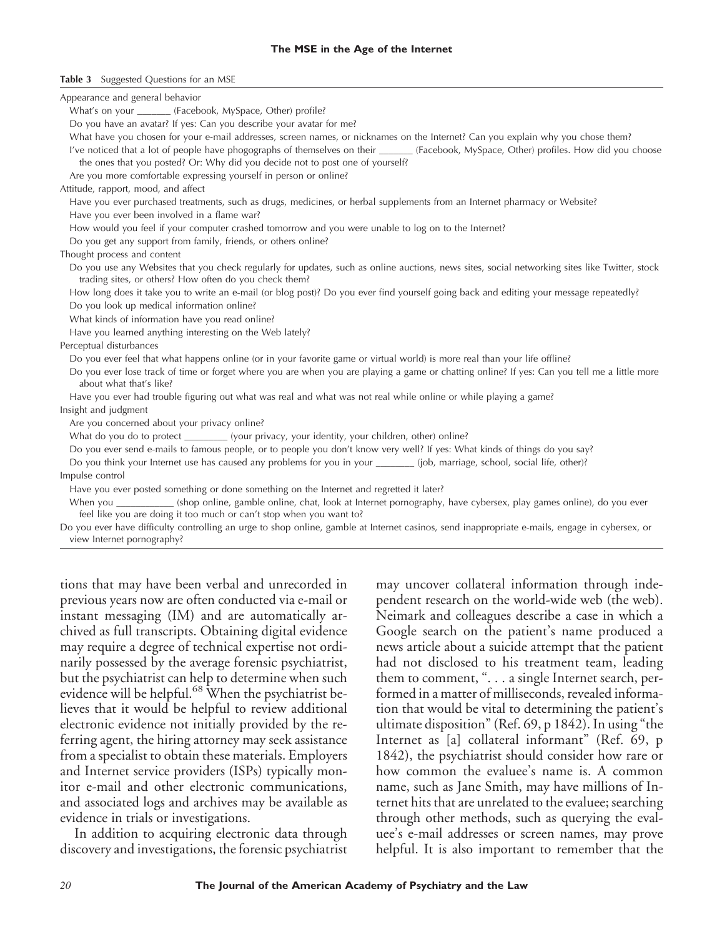#### **The MSE in the Age of the Internet**

#### **Table 3** Suggested Questions for an MSE

| Appearance and general behavior                                                                                                                                                                            |
|------------------------------------------------------------------------------------------------------------------------------------------------------------------------------------------------------------|
| What's on your _______ (Facebook, MySpace, Other) profile?                                                                                                                                                 |
| Do you have an avatar? If yes: Can you describe your avatar for me?                                                                                                                                        |
| What have you chosen for your e-mail addresses, screen names, or nicknames on the Internet? Can you explain why you chose them?                                                                            |
| I've noticed that a lot of people have phogographs of themselves on their _______ (Facebook, MySpace, Other) profiles. How did you choose                                                                  |
| the ones that you posted? Or: Why did you decide not to post one of yourself?                                                                                                                              |
| Are you more comfortable expressing yourself in person or online?                                                                                                                                          |
| Attitude, rapport, mood, and affect                                                                                                                                                                        |
| Have you ever purchased treatments, such as drugs, medicines, or herbal supplements from an Internet pharmacy or Website?                                                                                  |
| Have you ever been involved in a flame war?                                                                                                                                                                |
| How would you feel if your computer crashed tomorrow and you were unable to log on to the Internet?                                                                                                        |
| Do you get any support from family, friends, or others online?                                                                                                                                             |
| Thought process and content                                                                                                                                                                                |
| Do you use any Websites that you check regularly for updates, such as online auctions, news sites, social networking sites like Twitter, stock<br>trading sites, or others? How often do you check them?   |
| How long does it take you to write an e-mail (or blog post)? Do you ever find yourself going back and editing your message repeatedly?                                                                     |
| Do you look up medical information online?                                                                                                                                                                 |
| What kinds of information have you read online?                                                                                                                                                            |
| Have you learned anything interesting on the Web lately?                                                                                                                                                   |
| Perceptual disturbances                                                                                                                                                                                    |
| Do you ever feel that what happens online (or in your favorite game or virtual world) is more real than your life offline?                                                                                 |
| Do you ever lose track of time or forget where you are when you are playing a game or chatting online? If yes: Can you tell me a little more<br>about what that's like?                                    |
| Have you ever had trouble figuring out what was real and what was not real while online or while playing a game?                                                                                           |
| Insight and judgment                                                                                                                                                                                       |
| Are you concerned about your privacy online?                                                                                                                                                               |
| What do you do to protect __________ (your privacy, your identity, your children, other) online?                                                                                                           |
| Do you ever send e-mails to famous people, or to people you don't know very well? If yes: What kinds of things do you say?                                                                                 |
| Do you think your Internet use has caused any problems for you in your ________ (job, marriage, school, social life, other)?                                                                               |
| Impulse control                                                                                                                                                                                            |
| Have you ever posted something or done something on the Internet and regretted it later?                                                                                                                   |
| When you __________ (shop online, gamble online, chat, look at Internet pornography, have cybersex, play games online), do you ever<br>feel like you are doing it too much or can't stop when you want to? |
| Do you ever have difficulty controlling an urge to shop online, gamble at Internet casinos, send inappropriate e-mails, engage in cybersex, or<br>view Internet pornography?                               |
|                                                                                                                                                                                                            |

tions that may have been verbal and unrecorded in previous years now are often conducted via e-mail or instant messaging (IM) and are automatically archived as full transcripts. Obtaining digital evidence may require a degree of technical expertise not ordinarily possessed by the average forensic psychiatrist, but the psychiatrist can help to determine when such evidence will be helpful.<sup>68</sup> When the psychiatrist believes that it would be helpful to review additional electronic evidence not initially provided by the referring agent, the hiring attorney may seek assistance from a specialist to obtain these materials. Employers and Internet service providers (ISPs) typically monitor e-mail and other electronic communications, and associated logs and archives may be available as evidence in trials or investigations.

In addition to acquiring electronic data through discovery and investigations, the forensic psychiatrist may uncover collateral information through independent research on the world-wide web (the web). Neimark and colleagues describe a case in which a Google search on the patient's name produced a news article about a suicide attempt that the patient had not disclosed to his treatment team, leading them to comment, "...a single Internet search, performed in a matter of milliseconds, revealed information that would be vital to determining the patient's ultimate disposition" (Ref. 69, p 1842). In using "the Internet as [a] collateral informant" (Ref. 69, p 1842), the psychiatrist should consider how rare or how common the evaluee's name is. A common name, such as Jane Smith, may have millions of Internet hits that are unrelated to the evaluee; searching through other methods, such as querying the evaluee's e-mail addresses or screen names, may prove helpful. It is also important to remember that the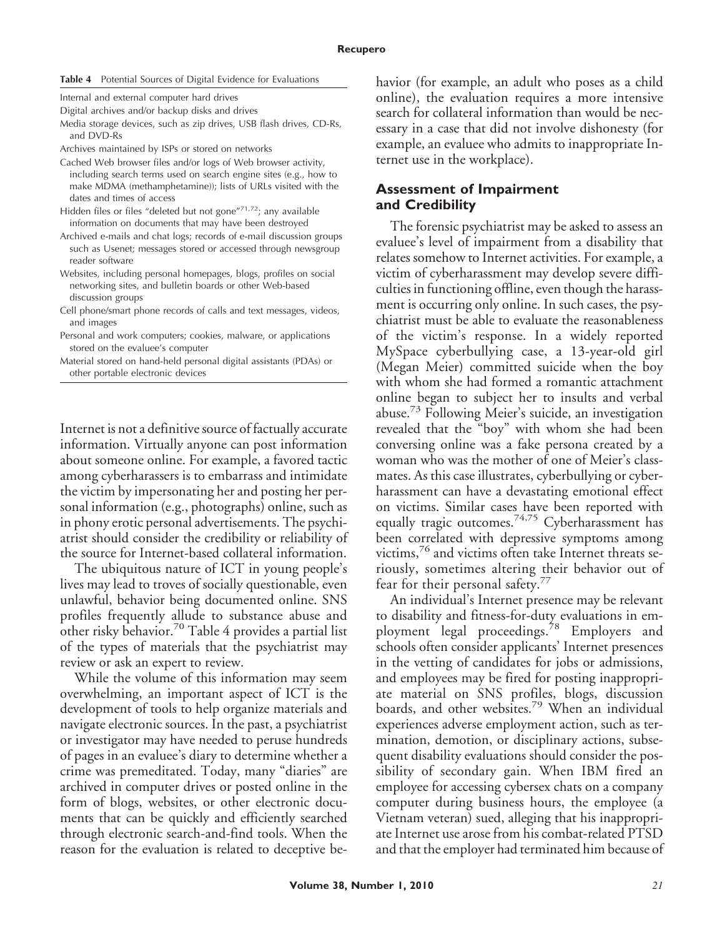#### **Table 4** Potential Sources of Digital Evidence for Evaluations

Internal and external computer hard drives

Digital archives and/or backup disks and drives

- Media storage devices, such as zip drives, USB flash drives, CD-Rs, and DVD-Rs
- Archives maintained by ISPs or stored on networks
- Cached Web browser files and/or logs of Web browser activity, including search terms used on search engine sites (e.g., how to make MDMA (methamphetamine)); lists of URLs visited with the dates and times of access
- Hidden files or files "deleted but not gone"<sup>71,72</sup>; any available information on documents that may have been destroyed
- Archived e-mails and chat logs; records of e-mail discussion groups such as Usenet; messages stored or accessed through newsgroup reader software
- Websites, including personal homepages, blogs, profiles on social networking sites, and bulletin boards or other Web-based discussion groups
- Cell phone/smart phone records of calls and text messages, videos, and images
- Personal and work computers; cookies, malware, or applications stored on the evaluee's computer
- Material stored on hand-held personal digital assistants (PDAs) or other portable electronic devices

Internet is not a definitive source of factually accurate information. Virtually anyone can post information about someone online. For example, a favored tactic among cyberharassers is to embarrass and intimidate the victim by impersonating her and posting her personal information (e.g., photographs) online, such as in phony erotic personal advertisements. The psychiatrist should consider the credibility or reliability of the source for Internet-based collateral information.

The ubiquitous nature of ICT in young people's lives may lead to troves of socially questionable, even unlawful, behavior being documented online. SNS profiles frequently allude to substance abuse and other risky behavior.<sup>70</sup> Table 4 provides a partial list of the types of materials that the psychiatrist may review or ask an expert to review.

While the volume of this information may seem overwhelming, an important aspect of ICT is the development of tools to help organize materials and navigate electronic sources. In the past, a psychiatrist or investigator may have needed to peruse hundreds of pages in an evaluee's diary to determine whether a crime was premeditated. Today, many "diaries" are archived in computer drives or posted online in the form of blogs, websites, or other electronic documents that can be quickly and efficiently searched through electronic search-and-find tools. When the reason for the evaluation is related to deceptive behavior (for example, an adult who poses as a child online), the evaluation requires a more intensive search for collateral information than would be necessary in a case that did not involve dishonesty (for example, an evaluee who admits to inappropriate Internet use in the workplace).

## **Assessment of Impairment and Credibility**

The forensic psychiatrist may be asked to assess an evaluee's level of impairment from a disability that relates somehow to Internet activities. For example, a victim of cyberharassment may develop severe difficulties in functioning offline, even though the harassment is occurring only online. In such cases, the psychiatrist must be able to evaluate the reasonableness of the victim's response. In a widely reported MySpace cyberbullying case, a 13-year-old girl (Megan Meier) committed suicide when the boy with whom she had formed a romantic attachment online began to subject her to insults and verbal abuse.<sup>73</sup> Following Meier's suicide, an investigation revealed that the "boy" with whom she had been conversing online was a fake persona created by a woman who was the mother of one of Meier's classmates. As this case illustrates, cyberbullying or cyberharassment can have a devastating emotional effect on victims. Similar cases have been reported with equally tragic outcomes.74,75 Cyberharassment has been correlated with depressive symptoms among victims,<sup>76</sup> and victims often take Internet threats seriously, sometimes altering their behavior out of fear for their personal safety.<sup>77</sup>

An individual's Internet presence may be relevant to disability and fitness-for-duty evaluations in employment legal proceedings.<sup>78</sup> Employers and schools often consider applicants' Internet presences in the vetting of candidates for jobs or admissions, and employees may be fired for posting inappropriate material on SNS profiles, blogs, discussion boards, and other websites.<sup>79</sup> When an individual experiences adverse employment action, such as termination, demotion, or disciplinary actions, subsequent disability evaluations should consider the possibility of secondary gain. When IBM fired an employee for accessing cybersex chats on a company computer during business hours, the employee (a Vietnam veteran) sued, alleging that his inappropriate Internet use arose from his combat-related PTSD and that the employer had terminated him because of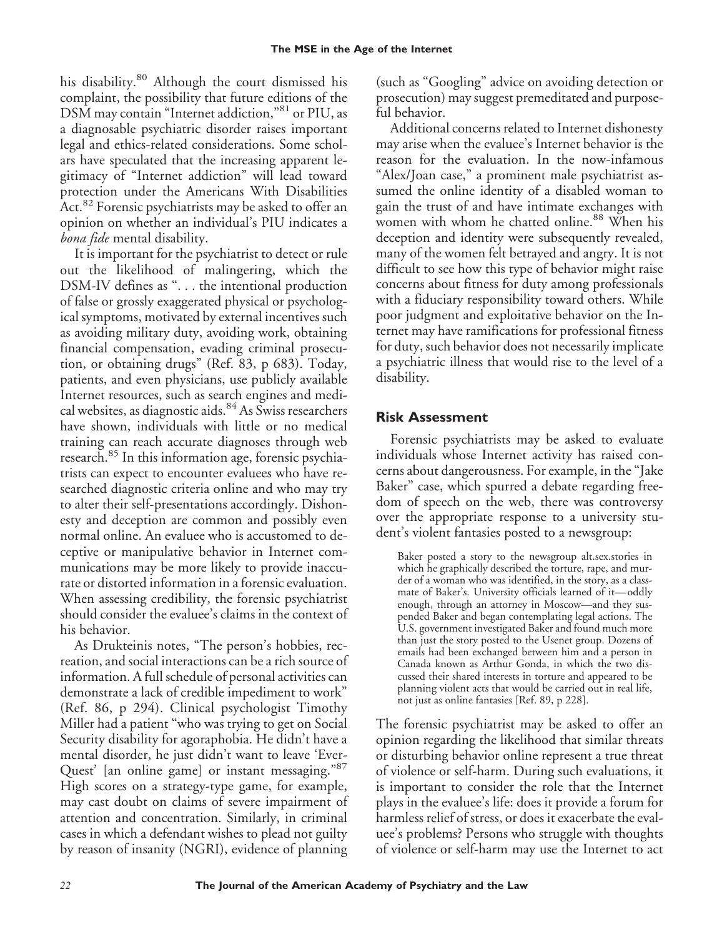his disability.<sup>80</sup> Although the court dismissed his complaint, the possibility that future editions of the DSM may contain "Internet addiction,"<sup>81</sup> or PIU, as a diagnosable psychiatric disorder raises important legal and ethics-related considerations. Some scholars have speculated that the increasing apparent legitimacy of "Internet addiction" will lead toward protection under the Americans With Disabilities Act.<sup>82</sup> Forensic psychiatrists may be asked to offer an opinion on whether an individual's PIU indicates a *bona fide* mental disability.

It is important for the psychiatrist to detect or rule out the likelihood of malingering, which the DSM-IV defines as ". . . the intentional production of false or grossly exaggerated physical or psychological symptoms, motivated by external incentives such as avoiding military duty, avoiding work, obtaining financial compensation, evading criminal prosecution, or obtaining drugs" (Ref. 83, p 683). Today, patients, and even physicians, use publicly available Internet resources, such as search engines and medical websites, as diagnostic aids.<sup>84</sup> As Swiss researchers have shown, individuals with little or no medical training can reach accurate diagnoses through web research.<sup>85</sup> In this information age, forensic psychiatrists can expect to encounter evaluees who have researched diagnostic criteria online and who may try to alter their self-presentations accordingly. Dishonesty and deception are common and possibly even normal online. An evaluee who is accustomed to deceptive or manipulative behavior in Internet communications may be more likely to provide inaccurate or distorted information in a forensic evaluation. When assessing credibility, the forensic psychiatrist should consider the evaluee's claims in the context of his behavior.

As Drukteinis notes, "The person's hobbies, recreation, and social interactions can be a rich source of information. A full schedule of personal activities can demonstrate a lack of credible impediment to work" (Ref. 86, p 294). Clinical psychologist Timothy Miller had a patient "who was trying to get on Social Security disability for agoraphobia. He didn't have a mental disorder, he just didn't want to leave 'Ever-Quest' [an online game] or instant messaging."87 High scores on a strategy-type game, for example, may cast doubt on claims of severe impairment of attention and concentration. Similarly, in criminal cases in which a defendant wishes to plead not guilty by reason of insanity (NGRI), evidence of planning

(such as "Googling" advice on avoiding detection or prosecution) may suggest premeditated and purposeful behavior.

Additional concerns related to Internet dishonesty may arise when the evaluee's Internet behavior is the reason for the evaluation. In the now-infamous "Alex/Joan case," a prominent male psychiatrist assumed the online identity of a disabled woman to gain the trust of and have intimate exchanges with women with whom he chatted online.<sup>88</sup> When his deception and identity were subsequently revealed, many of the women felt betrayed and angry. It is not difficult to see how this type of behavior might raise concerns about fitness for duty among professionals with a fiduciary responsibility toward others. While poor judgment and exploitative behavior on the Internet may have ramifications for professional fitness for duty, such behavior does not necessarily implicate a psychiatric illness that would rise to the level of a disability.

# **Risk Assessment**

Forensic psychiatrists may be asked to evaluate individuals whose Internet activity has raised concerns about dangerousness. For example, in the "Jake Baker" case, which spurred a debate regarding freedom of speech on the web, there was controversy over the appropriate response to a university student's violent fantasies posted to a newsgroup:

Baker posted a story to the newsgroup alt.sex.stories in which he graphically described the torture, rape, and murder of a woman who was identified, in the story, as a classmate of Baker's. University officials learned of it—oddly enough, through an attorney in Moscow—and they suspended Baker and began contemplating legal actions. The U.S. government investigated Baker and found much more than just the story posted to the Usenet group. Dozens of emails had been exchanged between him and a person in Canada known as Arthur Gonda, in which the two discussed their shared interests in torture and appeared to be planning violent acts that would be carried out in real life, not just as online fantasies [Ref. 89, p 228].

The forensic psychiatrist may be asked to offer an opinion regarding the likelihood that similar threats or disturbing behavior online represent a true threat of violence or self-harm. During such evaluations, it is important to consider the role that the Internet plays in the evaluee's life: does it provide a forum for harmless relief of stress, or does it exacerbate the evaluee's problems? Persons who struggle with thoughts of violence or self-harm may use the Internet to act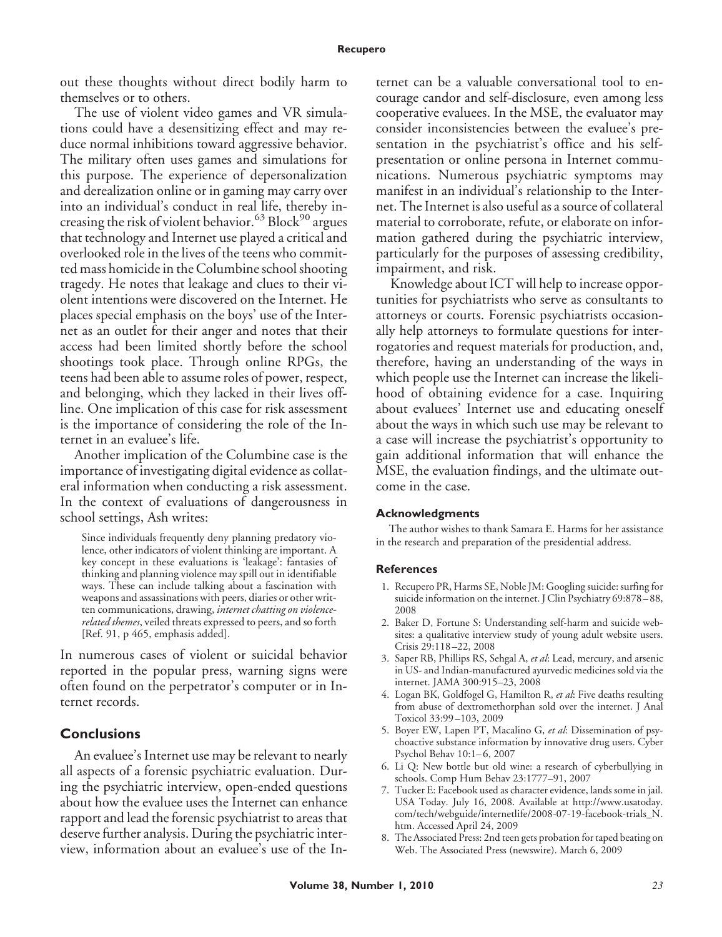out these thoughts without direct bodily harm to themselves or to others.

The use of violent video games and VR simulations could have a desensitizing effect and may reduce normal inhibitions toward aggressive behavior. The military often uses games and simulations for this purpose. The experience of depersonalization and derealization online or in gaming may carry over into an individual's conduct in real life, thereby increasing the risk of violent behavior.<sup>63</sup> Block<sup>90</sup> argues that technology and Internet use played a critical and overlooked role in the lives of the teens who committed mass homicide in the Columbine school shooting tragedy. He notes that leakage and clues to their violent intentions were discovered on the Internet. He places special emphasis on the boys' use of the Internet as an outlet for their anger and notes that their access had been limited shortly before the school shootings took place. Through online RPGs, the teens had been able to assume roles of power, respect, and belonging, which they lacked in their lives offline. One implication of this case for risk assessment is the importance of considering the role of the Internet in an evaluee's life.

Another implication of the Columbine case is the importance of investigating digital evidence as collateral information when conducting a risk assessment. In the context of evaluations of dangerousness in school settings, Ash writes:

Since individuals frequently deny planning predatory violence, other indicators of violent thinking are important. A key concept in these evaluations is 'leakage': fantasies of thinking and planning violence may spill out in identifiable ways. These can include talking about a fascination with weapons and assassinations with peers, diaries or other written communications, drawing, *internet chatting on violencerelated themes*, veiled threats expressed to peers, and so forth [Ref. 91, p 465, emphasis added].

In numerous cases of violent or suicidal behavior reported in the popular press, warning signs were often found on the perpetrator's computer or in Internet records.

## **Conclusions**

An evaluee's Internet use may be relevant to nearly all aspects of a forensic psychiatric evaluation. During the psychiatric interview, open-ended questions about how the evaluee uses the Internet can enhance rapport and lead the forensic psychiatrist to areas that deserve further analysis. During the psychiatric interview, information about an evaluee's use of the In-

ternet can be a valuable conversational tool to encourage candor and self-disclosure, even among less cooperative evaluees. In the MSE, the evaluator may consider inconsistencies between the evaluee's presentation in the psychiatrist's office and his selfpresentation or online persona in Internet communications. Numerous psychiatric symptoms may manifest in an individual's relationship to the Internet. The Internet is also useful as a source of collateral material to corroborate, refute, or elaborate on information gathered during the psychiatric interview, particularly for the purposes of assessing credibility, impairment, and risk.

Knowledge about ICT will help to increase opportunities for psychiatrists who serve as consultants to attorneys or courts. Forensic psychiatrists occasionally help attorneys to formulate questions for interrogatories and request materials for production, and, therefore, having an understanding of the ways in which people use the Internet can increase the likelihood of obtaining evidence for a case. Inquiring about evaluees' Internet use and educating oneself about the ways in which such use may be relevant to a case will increase the psychiatrist's opportunity to gain additional information that will enhance the MSE, the evaluation findings, and the ultimate outcome in the case.

#### **Acknowledgments**

The author wishes to thank Samara E. Harms for her assistance in the research and preparation of the presidential address.

#### **References**

- 1. Recupero PR, Harms SE, Noble JM: Googling suicide: surfing for suicide information on the internet. J Clin Psychiatry 69:878 – 88, 2008
- 2. Baker D, Fortune S: Understanding self-harm and suicide websites: a qualitative interview study of young adult website users. Crisis 29:118 –22, 2008
- 3. Saper RB, Phillips RS, Sehgal A, *et al*: Lead, mercury, and arsenic in US- and Indian-manufactured ayurvedic medicines sold via the internet. JAMA 300:915–23, 2008
- 4. Logan BK, Goldfogel G, Hamilton R, *et al*: Five deaths resulting from abuse of dextromethorphan sold over the internet. J Anal Toxicol 33:99 –103, 2009
- 5. Boyer EW, Lapen PT, Macalino G, *et al*: Dissemination of psychoactive substance information by innovative drug users. Cyber Psychol Behav 10:1-6, 2007
- 6. Li Q: New bottle but old wine: a research of cyberbullying in schools. Comp Hum Behav 23:1777–91, 2007
- 7. Tucker E: Facebook used as character evidence, lands some in jail. USA Today. July 16, 2008. Available at http://www.usatoday. com/tech/webguide/internetlife/2008-07-19-facebook-trials\_N. htm. Accessed April 24, 2009
- 8. The Associated Press: 2nd teen gets probation for taped beating on Web. The Associated Press (newswire). March 6, 2009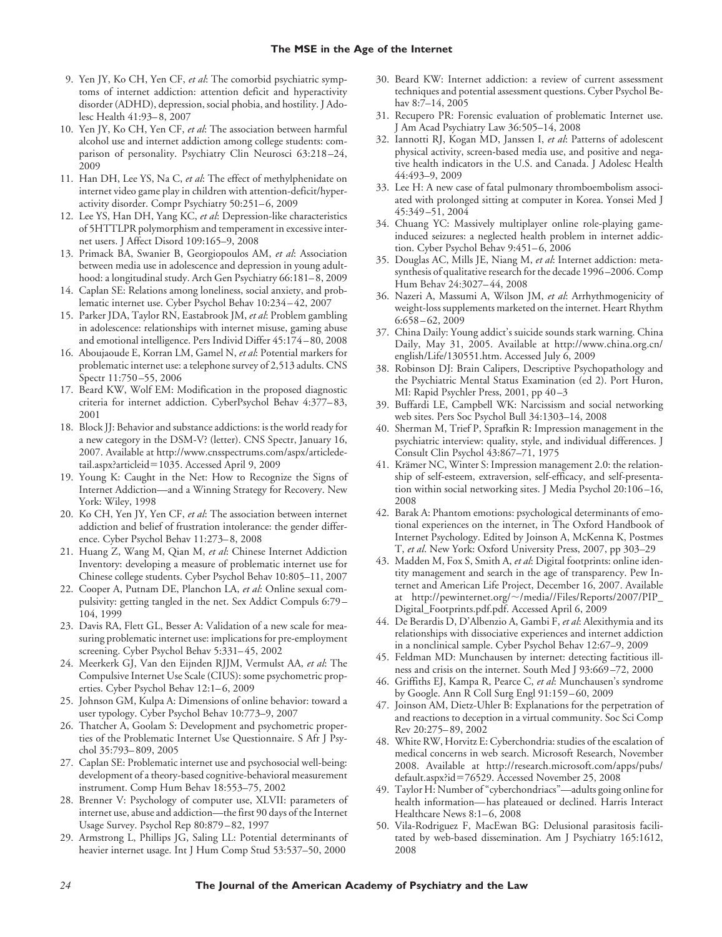- 9. Yen JY, Ko CH, Yen CF, *et al*: The comorbid psychiatric symptoms of internet addiction: attention deficit and hyperactivity disorder (ADHD), depression, social phobia, and hostility. J Adolesc Health 41:93– 8, 2007
- 10. Yen JY, Ko CH, Yen CF, *et al*: The association between harmful alcohol use and internet addiction among college students: comparison of personality. Psychiatry Clin Neurosci 63:218 –24, 2009
- 11. Han DH, Lee YS, Na C, *et al*: The effect of methylphenidate on internet video game play in children with attention-deficit/hyperactivity disorder. Compr Psychiatry 50:251-6, 2009
- 12. Lee YS, Han DH, Yang KC, *et al*: Depression-like characteristics of 5HTTLPR polymorphism and temperament in excessive internet users. J Affect Disord 109:165–9, 2008
- 13. Primack BA, Swanier B, Georgiopoulos AM, *et al*: Association between media use in adolescence and depression in young adulthood: a longitudinal study. Arch Gen Psychiatry 66:181– 8, 2009
- 14. Caplan SE: Relations among loneliness, social anxiety, and problematic internet use. Cyber Psychol Behav 10:234 – 42, 2007
- 15. Parker JDA, Taylor RN, Eastabrook JM, *et al*: Problem gambling in adolescence: relationships with internet misuse, gaming abuse and emotional intelligence. Pers Individ Differ 45:174 – 80, 2008
- 16. Aboujaoude E, Korran LM, Gamel N, *et al*: Potential markers for problematic internet use: a telephone survey of 2,513 adults. CNS Spectr 11:750 –55, 2006
- 17. Beard KW, Wolf EM: Modification in the proposed diagnostic criteria for internet addiction. CyberPsychol Behav 4:377– 83, 2001
- 18. Block JJ: Behavior and substance addictions: is the world ready for a new category in the DSM-V? (letter). CNS Spectr, January 16, 2007. Available at http://www.cnsspectrums.com/aspx/articledetail.aspx?articleid=1035. Accessed April 9, 2009
- 19. Young K: Caught in the Net: How to Recognize the Signs of Internet Addiction—and a Winning Strategy for Recovery. New York: Wiley, 1998
- 20. Ko CH, Yen JY, Yen CF, *et al*: The association between internet addiction and belief of frustration intolerance: the gender difference. Cyber Psychol Behav 11:273– 8, 2008
- 21. Huang Z, Wang M, Qian M, *et al*: Chinese Internet Addiction Inventory: developing a measure of problematic internet use for Chinese college students. Cyber Psychol Behav 10:805–11, 2007
- 22. Cooper A, Putnam DE, Planchon LA, *et al*: Online sexual compulsivity: getting tangled in the net. Sex Addict Compuls 6:79 – 104, 1999
- 23. Davis RA, Flett GL, Besser A: Validation of a new scale for measuring problematic internet use: implications for pre-employment screening. Cyber Psychol Behav 5:331-45, 2002
- 24. Meerkerk GJ, Van den Eijnden RJJM, Vermulst AA, *et al*: The Compulsive Internet Use Scale (CIUS): some psychometric properties. Cyber Psychol Behav 12:1-6, 2009
- 25. Johnson GM, Kulpa A: Dimensions of online behavior: toward a user typology. Cyber Psychol Behav 10:773–9, 2007
- 26. Thatcher A, Goolam S: Development and psychometric properties of the Problematic Internet Use Questionnaire. S Afr J Psychol 35:793– 809, 2005
- 27. Caplan SE: Problematic internet use and psychosocial well-being: development of a theory-based cognitive-behavioral measurement instrument. Comp Hum Behav 18:553–75, 2002
- 28. Brenner V: Psychology of computer use, XLVII: parameters of internet use, abuse and addiction—the first 90 days of the Internet Usage Survey. Psychol Rep 80:879 – 82, 1997
- 29. Armstrong L, Phillips JG, Saling LL: Potential determinants of heavier internet usage. Int J Hum Comp Stud 53:537–50, 2000
- 30. Beard KW: Internet addiction: a review of current assessment techniques and potential assessment questions. Cyber Psychol Behav 8:7–14, 2005
- 31. Recupero PR: Forensic evaluation of problematic Internet use. J Am Acad Psychiatry Law 36:505–14, 2008
- 32. Iannotti RJ, Kogan MD, Janssen I, *et al*: Patterns of adolescent physical activity, screen-based media use, and positive and negative health indicators in the U.S. and Canada. J Adolesc Health 44:493–9, 2009
- 33. Lee H: A new case of fatal pulmonary thromboembolism associated with prolonged sitting at computer in Korea. Yonsei Med J 45:349 –51, 2004
- 34. Chuang YC: Massively multiplayer online role-playing gameinduced seizures: a neglected health problem in internet addiction. Cyber Psychol Behav 9:451-6, 2006
- 35. Douglas AC, Mills JE, Niang M, *et al*: Internet addiction: metasynthesis of qualitative research for the decade 1996 –2006. Comp Hum Behav 24:3027– 44, 2008
- 36. Nazeri A, Massumi A, Wilson JM, *et al*: Arrhythmogenicity of weight-loss supplements marketed on the internet. Heart Rhythm 6:658 – 62, 2009
- 37. China Daily: Young addict's suicide sounds stark warning. China Daily, May 31, 2005. Available at http://www.china.org.cn/ english/Life/130551.htm. Accessed July 6, 2009
- 38. Robinson DJ: Brain Calipers, Descriptive Psychopathology and the Psychiatric Mental Status Examination (ed 2). Port Huron, MI: Rapid Psychler Press, 2001, pp 40 –3
- 39. Buffardi LE, Campbell WK: Narcissism and social networking web sites. Pers Soc Psychol Bull 34:1303–14, 2008
- 40. Sherman M, Trief P, Sprafkin R: Impression management in the psychiatric interview: quality, style, and individual differences. J Consult Clin Psychol 43:867–71, 1975
- 41. Krämer NC, Winter S: Impression management 2.0: the relationship of self-esteem, extraversion, self-efficacy, and self-presentation within social networking sites. J Media Psychol 20:106 –16, 2008
- 42. Barak A: Phantom emotions: psychological determinants of emotional experiences on the internet, in The Oxford Handbook of Internet Psychology. Edited by Joinson A, McKenna K, Postmes T, *et al*. New York: Oxford University Press, 2007, pp 303–29
- 43. Madden M, Fox S, Smith A, *et al*: Digital footprints: online identity management and search in the age of transparency. Pew Internet and American Life Project, December 16, 2007. Available at http://pewinternet.org/~/media//Files/Reports/2007/PIP\_ Digital\_Footprints.pdf.pdf. Accessed April 6, 2009
- 44. De Berardis D, D'Albenzio A, Gambi F, *et al*: Alexithymia and its relationships with dissociative experiences and internet addiction in a nonclinical sample. Cyber Psychol Behav 12:67–9, 2009
- 45. Feldman MD: Munchausen by internet: detecting factitious illness and crisis on the internet. South Med J 93:669 –72, 2000
- 46. Griffiths EJ, Kampa R, Pearce C, *et al*: Munchausen's syndrome by Google. Ann R Coll Surg Engl 91:159 – 60, 2009
- 47. Joinson AM, Dietz-Uhler B: Explanations for the perpetration of and reactions to deception in a virtual community. Soc Sci Comp Rev 20:275– 89, 2002
- 48. White RW, Horvitz E: Cyberchondria: studies of the escalation of medical concerns in web search. Microsoft Research, November 2008. Available at http://research.microsoft.com/apps/pubs/ default.aspx?id=76529. Accessed November 25, 2008
- 49. Taylor H: Number of "cyberchondriacs"—adults going online for health information— has plateaued or declined. Harris Interact Healthcare News 8:1–6, 2008
- 50. Vila-Rodriguez F, MacEwan BG: Delusional parasitosis facilitated by web-based dissemination. Am J Psychiatry 165:1612, 2008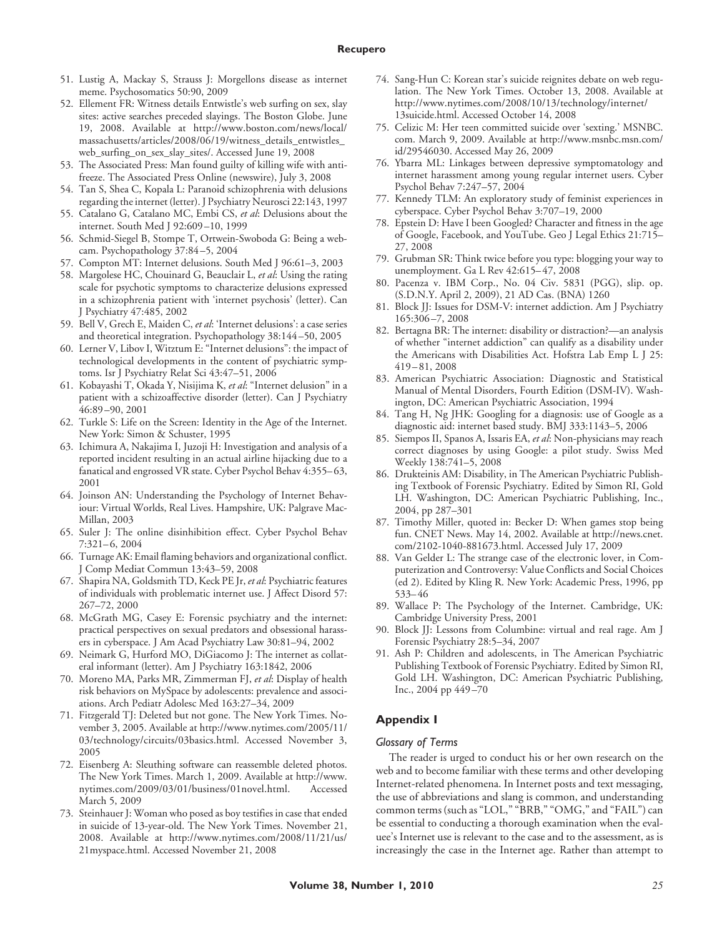- 51. Lustig A, Mackay S, Strauss J: Morgellons disease as internet meme. Psychosomatics 50:90, 2009
- 52. Ellement FR: Witness details Entwistle's web surfing on sex, slay sites: active searches preceded slayings. The Boston Globe. June 19, 2008. Available at http://www.boston.com/news/local/ massachusetts/articles/2008/06/19/witness\_details\_entwistles\_ web\_surfing\_on\_sex\_slay\_sites/. Accessed June 19, 2008
- 53. The Associated Press: Man found guilty of killing wife with antifreeze. The Associated Press Online (newswire), July 3, 2008
- 54. Tan S, Shea C, Kopala L: Paranoid schizophrenia with delusions regarding the internet (letter). J Psychiatry Neurosci 22:143, 1997
- 55. Catalano G, Catalano MC, Embi CS, *et al*: Delusions about the internet. South Med J 92:609 –10, 1999
- 56. Schmid-Siegel B, Stompe T, Ortwein-Swoboda G: Being a webcam. Psychopathology 37:84 –5, 2004
- 57. Compton MT: Internet delusions. South Med J 96:61–3, 2003
- 58. Margolese HC, Chouinard G, Beauclair L, *et al*: Using the rating scale for psychotic symptoms to characterize delusions expressed in a schizophrenia patient with 'internet psychosis' (letter). Can J Psychiatry 47:485, 2002
- 59. Bell V, Grech E, Maiden C, *et al*: 'Internet delusions': a case series and theoretical integration. Psychopathology 38:144 –50, 2005
- 60. Lerner V, Libov I, Witztum E: "Internet delusions": the impact of technological developments in the content of psychiatric symptoms. Isr J Psychiatry Relat Sci 43:47–51, 2006
- 61. Kobayashi T, Okada Y, Nisijima K, *et al*: "Internet delusion" in a patient with a schizoaffective disorder (letter). Can J Psychiatry 46:89 –90, 2001
- 62. Turkle S: Life on the Screen: Identity in the Age of the Internet. New York: Simon & Schuster, 1995
- 63. Ichimura A, Nakajima I, Juzoji H: Investigation and analysis of a reported incident resulting in an actual airline hijacking due to a fanatical and engrossed VR state. Cyber Psychol Behav 4:355– 63, 2001
- 64. Joinson AN: Understanding the Psychology of Internet Behaviour: Virtual Worlds, Real Lives. Hampshire, UK: Palgrave Mac-Millan, 2003
- 65. Suler J: The online disinhibition effect. Cyber Psychol Behav 7:321– 6, 2004
- 66. Turnage AK: Email flaming behaviors and organizational conflict. J Comp Mediat Commun 13:43–59, 2008
- 67. Shapira NA, Goldsmith TD, Keck PE Jr, *et al*: Psychiatric features of individuals with problematic internet use. J Affect Disord 57: 267–72, 2000
- 68. McGrath MG, Casey E: Forensic psychiatry and the internet: practical perspectives on sexual predators and obsessional harassers in cyberspace. J Am Acad Psychiatry Law 30:81–94, 2002
- 69. Neimark G, Hurford MO, DiGiacomo J: The internet as collateral informant (letter). Am J Psychiatry 163:1842, 2006
- 70. Moreno MA, Parks MR, Zimmerman FJ, *et al*: Display of health risk behaviors on MySpace by adolescents: prevalence and associations. Arch Pediatr Adolesc Med 163:27–34, 2009
- 71. Fitzgerald TJ: Deleted but not gone. The New York Times. November 3, 2005. Available at http://www.nytimes.com/2005/11/ 03/technology/circuits/03basics.html. Accessed November 3, 2005
- 72. Eisenberg A: Sleuthing software can reassemble deleted photos. The New York Times. March 1, 2009. Available at http://www. nytimes.com/2009/03/01/business/01novel.html. Accessed March 5, 2009
- 73. Steinhauer J: Woman who posed as boy testifies in case that ended in suicide of 13-year-old. The New York Times. November 21, 2008. Available at http://www.nytimes.com/2008/11/21/us/ 21myspace.html. Accessed November 21, 2008
- 74. Sang-Hun C: Korean star's suicide reignites debate on web regulation. The New York Times. October 13, 2008. Available at http://www.nytimes.com/2008/10/13/technology/internet/ 13suicide.html. Accessed October 14, 2008
- 75. Celizic M: Her teen committed suicide over 'sexting.' MSNBC. com. March 9, 2009. Available at http://www.msnbc.msn.com/ id/29546030. Accessed May 26, 2009
- 76. Ybarra ML: Linkages between depressive symptomatology and internet harassment among young regular internet users. Cyber Psychol Behav 7:247–57, 2004
- 77. Kennedy TLM: An exploratory study of feminist experiences in cyberspace. Cyber Psychol Behav 3:707–19, 2000
- 78. Epstein D: Have I been Googled? Character and fitness in the age of Google, Facebook, and YouTube. Geo J Legal Ethics 21:715– 27, 2008
- 79. Grubman SR: Think twice before you type: blogging your way to unemployment. Ga L Rev 42:615– 47, 2008
- 80. Pacenza v. IBM Corp., No. 04 Civ. 5831 (PGG), slip. op. (S.D.N.Y. April 2, 2009), 21 AD Cas. (BNA) 1260
- 81. Block JJ: Issues for DSM-V: internet addiction. Am J Psychiatry 165:306 –7, 2008
- 82. Bertagna BR: The internet: disability or distraction?—an analysis of whether "internet addiction" can qualify as a disability under the Americans with Disabilities Act. Hofstra Lab Emp L J 25: 419 – 81, 2008
- 83. American Psychiatric Association: Diagnostic and Statistical Manual of Mental Disorders, Fourth Edition (DSM-IV). Washington, DC: American Psychiatric Association, 1994
- 84. Tang H, Ng JHK: Googling for a diagnosis: use of Google as a diagnostic aid: internet based study. BMJ 333:1143–5, 2006
- 85. Siempos II, Spanos A, Issaris EA, *et al*: Non-physicians may reach correct diagnoses by using Google: a pilot study. Swiss Med Weekly 138:741–5, 2008
- 86. Drukteinis AM: Disability, in The American Psychiatric Publishing Textbook of Forensic Psychiatry. Edited by Simon RI, Gold LH. Washington, DC: American Psychiatric Publishing, Inc., 2004, pp 287–301
- 87. Timothy Miller, quoted in: Becker D: When games stop being fun. CNET News. May 14, 2002. Available at http://news.cnet. com/2102-1040-881673.html. Accessed July 17, 2009
- 88. Van Gelder L: The strange case of the electronic lover, in Computerization and Controversy: Value Conflicts and Social Choices (ed 2). Edited by Kling R. New York: Academic Press, 1996, pp 533– 46
- 89. Wallace P: The Psychology of the Internet. Cambridge, UK: Cambridge University Press, 2001
- 90. Block JJ: Lessons from Columbine: virtual and real rage. Am J Forensic Psychiatry 28:5–34, 2007
- 91. Ash P: Children and adolescents, in The American Psychiatric Publishing Textbook of Forensic Psychiatry. Edited by Simon RI, Gold LH. Washington, DC: American Psychiatric Publishing, Inc., 2004 pp 449 –70

## **Appendix I**

#### *Glossary of Terms*

The reader is urged to conduct his or her own research on the web and to become familiar with these terms and other developing Internet-related phenomena. In Internet posts and text messaging, the use of abbreviations and slang is common, and understanding common terms (such as "LOL," "BRB," "OMG," and "FAIL") can be essential to conducting a thorough examination when the evaluee's Internet use is relevant to the case and to the assessment, as is increasingly the case in the Internet age. Rather than attempt to